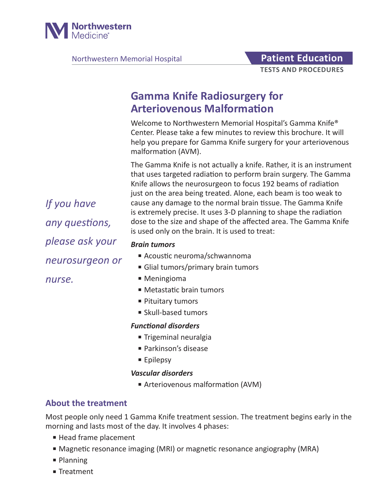

Northwestern Memorial Hospital **Patient Education** 

# **TESTS AND PROCEDURES**

## **Gamma Knife Radiosurgery for Arteriovenous Malformation**

Welcome to Northwestern Memorial Hospital's Gamma Knife® Center. Please take a few minutes to review this brochure. It will help you prepare for Gamma Knife surgery for your arteriovenous malformation (AVM).

The Gamma Knife is not actually a knife. Rather, it is an instrument that uses targeted radiation to perform brain surgery. The Gamma Knife allows the neurosurgeon to focus 192 beams of radiation just on the area being treated. Alone, each beam is too weak to cause any damage to the normal brain tissue. The Gamma Knife is extremely precise. It uses 3-D planning to shape the radiation dose to the size and shape of the affected area. The Gamma Knife is used only on the brain. It is used to treat:

#### *Brain tumors*

- Acoustic neuroma/schwannoma
- Glial tumors/primary brain tumors
- Meningioma
- Metastatic brain tumors
- Pituitary tumors
- Skull-based tumors

#### *Functional disorders*

- Trigeminal neuralgia
- Parkinson's disease
- Epilepsy

#### *Vascular disorders*

■ Arteriovenous malformation (AVM)

## **About the treatment**

Most people only need 1 Gamma Knife treatment session. The treatment begins early in the morning and lasts most of the day. It involves 4 phases:

- Head frame placement
- Magnetic resonance imaging (MRI) or magnetic resonance angiography (MRA)
- Planning
- Treatment

*If you have any questions, please ask your neurosurgeon or nurse.*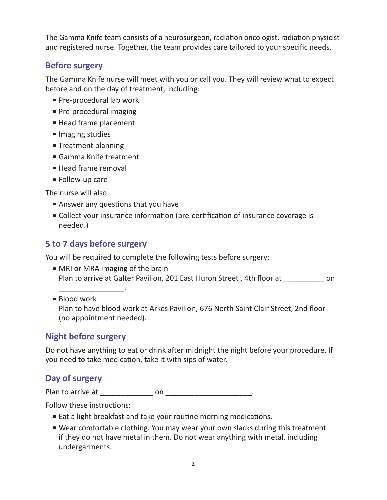The Gamma Knife team consists of a neurosurgeon, radiation oncologist, radiation physicist and registered nurse. Together, the team provides care tailored to your specific needs.

#### **Before surgery**

The Gamma Knife nurse will meet with you or call you. They will review what to expect before and on the day of treatment, including:

- Pre-procedural lab work
- Pre-procedural imaging
- Head frame placement
- Imaging studies
- Treatment planning
- Gamma Knife treatment
- Head frame removal
- Follow-up care

The nurse will also:

- Answer any questions that you have
- Collect your insurance information (pre-certification of insurance coverage is needed.)

## **5 to 7 days before surgery**

\_\_\_\_\_\_\_\_\_\_\_\_\_\_\_\_.

You will be required to complete the following tests before surgery:

- MRI or MRA imaging of the brain Plan to arrive at Galter Pavilion, 201 East Huron Street, 4th floor at **cannom** on
- Blood work

Plan to have blood work at Arkes Pavilion, 676 North Saint Clair Street, 2nd floor (no appointment needed).

## **Night before surgery**

Do not have anything to eat or drink after midnight the night before your procedure. If you need to take medication, take it with sips of water.

## **Day of surgery**

Plan to arrive at \_\_\_\_\_\_\_\_\_\_\_\_\_ on \_\_\_\_\_\_\_\_\_\_\_\_\_\_\_\_\_\_\_\_\_.

Follow these instructions:

- Eat a light breakfast and take your routine morning medications.
- Wear comfortable clothing. You may wear your own slacks during this treatment if they do not have metal in them. Do not wear anything with metal, including undergarments.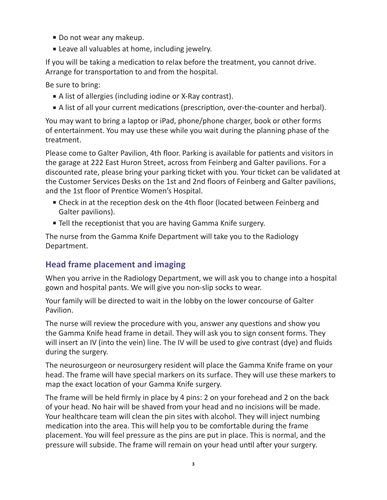- Do not wear any makeup.
- Leave all valuables at home, including jewelry.

If you will be taking a medication to relax before the treatment, you cannot drive. Arrange for transportation to and from the hospital.

Be sure to bring:

- A list of allergies (including iodine or X-Ray contrast).
- A list of all your current medications (prescription, over-the-counter and herbal).

You may want to bring a laptop or iPad, phone/phone charger, book or other forms of entertainment. You may use these while you wait during the planning phase of the treatment.

Please come to Galter Pavilion, 4th floor. Parking is available for patients and visitors in the garage at 222 East Huron Street, across from Feinberg and Galter pavilions. For a discounted rate, please bring your parking ticket with you. Your ticket can be validated at the Customer Services Desks on the 1st and 2nd floors of Feinberg and Galter pavilions, and the 1st floor of Prentice Women's Hospital.

- Check in at the reception desk on the 4th floor (located between Feinberg and Galter pavilions).
- Tell the receptionist that you are having Gamma Knife surgery.

The nurse from the Gamma Knife Department will take you to the Radiology Department.

## **Head frame placement and imaging**

When you arrive in the Radiology Department, we will ask you to change into a hospital gown and hospital pants. We will give you non-slip socks to wear.

Your family will be directed to wait in the lobby on the lower concourse of Galter Pavilion.

The nurse will review the procedure with you, answer any questions and show you the Gamma Knife head frame in detail. They will ask you to sign consent forms. They will insert an IV (into the vein) line. The IV will be used to give contrast (dye) and fluids during the surgery.

The neurosurgeon or neurosurgery resident will place the Gamma Knife frame on your head. The frame will have special markers on its surface. They will use these markers to map the exact location of your Gamma Knife surgery.

The frame will be held firmly in place by 4 pins: 2 on your forehead and 2 on the back of your head. No hair will be shaved from your head and no incisions will be made. Your healthcare team will clean the pin sites with alcohol. They will inject numbing medication into the area. This will help you to be comfortable during the frame placement. You will feel pressure as the pins are put in place. This is normal, and the pressure will subside. The frame will remain on your head until after your surgery.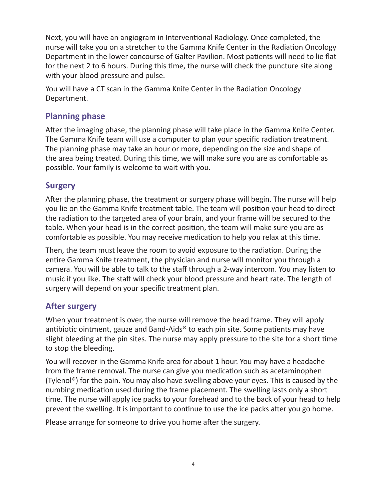Next, you will have an angiogram in Interventional Radiology. Once completed, the nurse will take you on a stretcher to the Gamma Knife Center in the Radiation Oncology Department in the lower concourse of Galter Pavilion. Most patients will need to lie flat for the next 2 to 6 hours. During this time, the nurse will check the puncture site along with your blood pressure and pulse.

You will have a CT scan in the Gamma Knife Center in the Radiation Oncology Department.

## **Planning phase**

After the imaging phase, the planning phase will take place in the Gamma Knife Center. The Gamma Knife team will use a computer to plan your specific radiation treatment. The planning phase may take an hour or more, depending on the size and shape of the area being treated. During this time, we will make sure you are as comfortable as possible. Your family is welcome to wait with you.

#### **Surgery**

After the planning phase, the treatment or surgery phase will begin. The nurse will help you lie on the Gamma Knife treatment table. The team will position your head to direct the radiation to the targeted area of your brain, and your frame will be secured to the table. When your head is in the correct position, the team will make sure you are as comfortable as possible. You may receive medication to help you relax at this time.

Then, the team must leave the room to avoid exposure to the radiation. During the entire Gamma Knife treatment, the physician and nurse will monitor you through a camera. You will be able to talk to the staff through a 2-way intercom. You may listen to music if you like. The staff will check your blood pressure and heart rate. The length of surgery will depend on your specific treatment plan.

## **After surgery**

When your treatment is over, the nurse will remove the head frame. They will apply antibiotic ointment, gauze and Band-Aids® to each pin site. Some patients may have slight bleeding at the pin sites. The nurse may apply pressure to the site for a short time to stop the bleeding.

You will recover in the Gamma Knife area for about 1 hour. You may have a headache from the frame removal. The nurse can give you medication such as acetaminophen (Tylenol®) for the pain. You may also have swelling above your eyes. This is caused by the numbing medication used during the frame placement. The swelling lasts only a short time. The nurse will apply ice packs to your forehead and to the back of your head to help prevent the swelling. It is important to continue to use the ice packs after you go home.

Please arrange for someone to drive you home after the surgery.